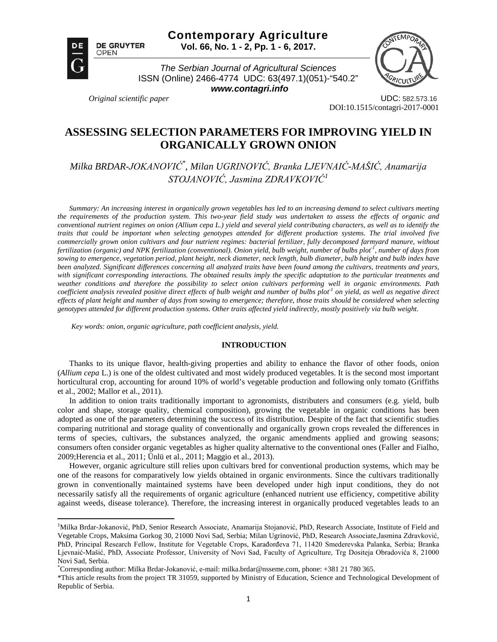



 $\overline{\phantom{a}}$ 

*The Serbian Journal of Agricultural Sciences* ISSN (Online) 2466-4774 UDC: 63(497.1)(051)-"540.2"

*www.contagri.info*



*Original scientific paper* UDC: 582.573.16 DOI:10.1515/contagri-2017-0001

# **ASSESSING SELECTION PARAMETERS FOR IMPROVING YIELD IN ORGANICALLY GROWN ONION**

*Milka BRDAR-JOKANOVIĆ\* , Milan UGRINOVIĆ, Branka LJEVNAIĆ-MAŠIĆ, Anamarija STOJANOVIĆ, Jasmina ZDRAVKOVIĆ[1](#page-0-0)*

*Summary: An increasing interest in organically grown vegetables has led to an increasing demand to select cultivars meeting the requirements of the production system. This two-year field study was undertaken to assess the effects of organic and conventional nutrient regimes on onion (Allium cepa L.) yield and several yield contributing characters, as well as to identify the traits that could be important when selecting genotypes attended for different production systems. The trial involved five commercially grown onion cultivars and four nutrient regimes: bacterial fertilizer, fully decomposed farmyard manure, without*  fertilization (organic) and NPK fertilization (conventional). Onion yield, bulb weight, number of bulbs plot<sup>1</sup>, number of days from *sowing to emergence, vegetation period, plant height, neck diameter, neck length, bulb diameter, bulb height and bulb index have been analyzed. Significant differences concerning all analyzed traits have been found among the cultivars, treatments and years, with significant corresponding interactions. The obtained results imply the specific adaptation to the particular treatments and weather conditions and therefore the possibility to select onion cultivars performing well in organic environments. Path coefficient analysis revealed positive direct effects of bulb weight and number of bulbs plot-1 on yield, as well as negative direct effects of plant height and number of days from sowing to emergence; therefore, those traits should be considered when selecting genotypes attended for different production systems. Other traits affected yield indirectly, mostly positively via bulb weight.*

*Key words: onion, organic agriculture, path coefficient analysis, yield.*

## **INTRODUCTION**

Thanks to its unique flavor, health-giving properties and ability to enhance the flavor of other foods, onion (*Allium cepa* L.) is one of the oldest cultivated and most widely produced vegetables. It is the second most important horticultural crop, accounting for around 10% of world's vegetable production and following only tomato (Griffiths et al., 2002; Mallor et al., 2011).

In addition to onion traits traditionally important to agronomists, distributers and consumers (e.g. yield, bulb color and shape, storage quality, chemical composition), growing the vegetable in organic conditions has been adopted as one of the parameters determining the success of its distribution. Despite of the fact that scientific studies comparing nutritional and storage quality of conventionally and organically grown crops revealed the differences in terms of species, cultivars, the substances analyzed, the organic amendments applied and growing seasons; consumers often consider organic vegetables as higher quality alternative to the conventional ones (Faller and Fialho, 2009;Herencia et al., 2011; Ünlü et al., 2011; Maggio et al., 2013).

However, organic agriculture still relies upon cultivars bred for conventional production systems, which may be one of the reasons for comparatively low yields obtained in organic environments. Since the cultivars traditionally grown in conventionally maintained systems have been developed under high input conditions, they do not necessarily satisfy all the requirements of organic agriculture (enhanced nutrient use efficiency, competitive ability against weeds, disease tolerance). Therefore, the increasing interest in organically produced vegetables leads to an

<span id="page-0-0"></span><sup>&</sup>lt;sup>1</sup>Milka Brdar-Jokanović, PhD, Senior Research Associate, Anamarija Stojanović, PhD, Research Associate, Institute of Field and Vegetable Crops, Maksima Gorkog 30, 21000 Novi Sad, Serbia; Milan Ugrinović, PhD, Research Associate,Jasmina Zdravković, PhD, Principal Research Fellow, Institute for Vegetable Crops, Karađorđeva 71, 11420 Smederevska Palanka, Serbia; Branka Ljevnaić-Mašić, PhD, Associate Professor, University of Novi Sad, Faculty of Agriculture, Trg Dositeja Obradovića 8, 21000 Novi Sad, Serbia.

<sup>\*</sup> Corresponding author: Milka Brdar-Jokanović, e-mail: milka.brdar@nsseme.com, phone: +381 21 780 365.

<sup>\*</sup>This article results from the project TR 31059, supported by Ministry of Education, Science and Technological Development of Republic of Serbia.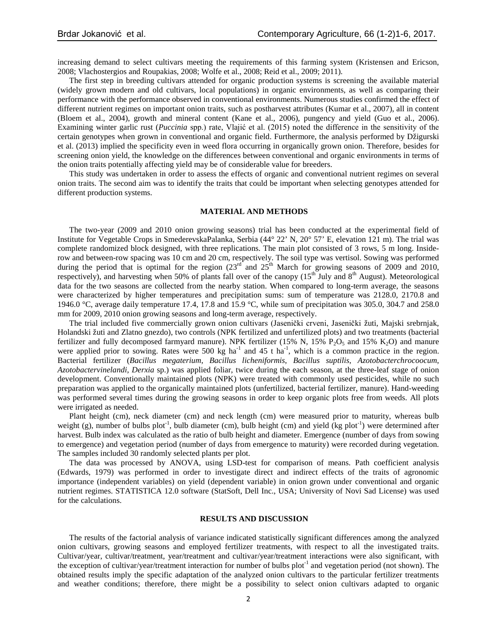increasing demand to select cultivars meeting the requirements of this farming system (Kristensen and Ericson, 2008; Vlachostergios and Roupakias, 2008; Wolfe et al., 2008; Reid et al., 2009; 2011).

The first step in breeding cultivars attended for organic production systems is screening the available material (widely grown modern and old cultivars, local populations) in organic environments, as well as comparing their performance with the performance observed in conventional environments. Numerous studies confirmed the effect of different nutrient regimes on important onion traits, such as postharvest attributes (Kumar et al., 2007), all in content (Bloem et al., 2004), growth and mineral content (Kane et al., 2006), pungency and yield (Guo et al., 2006). Examining winter garlic rust (*Puccinia* spp.) rate, Vlajić et al. (2015) noted the difference in the sensitivity of the certain genotypes when grown in conventional and organic field. Furthermore, the analysis performed by Džigurski et al. (2013) implied the specificity even in weed flora occurring in organically grown onion. Therefore, besides for screening onion yield, the knowledge on the differences between conventional and organic environments in terms of the onion traits potentially affecting yield may be of considerable value for breeders.

This study was undertaken in order to assess the effects of organic and conventional nutrient regimes on several onion traits. The second aim was to identify the traits that could be important when selecting genotypes attended for different production systems.

### **MATERIAL AND METHODS**

The two-year (2009 and 2010 onion growing seasons) trial has been conducted at the experimental field of Institute for Vegetable Crops in SmederevskaPalanka, Serbia (44° 22' N, 20° 57' E, elevation 121 m). The trial was complete randomized block designed, with three replications. The main plot consisted of 3 rows, 5 m long. Insiderow and between-row spacing was 10 cm and 20 cm, respectively. The soil type was vertisol. Sowing was performed during the period that is optimal for the region  $(23<sup>rd</sup>$  and  $25<sup>th</sup>$  March for growing seasons of 2009 and 2010, respectively), and harvesting when 50% of plants fall over of the canopy (15<sup>th</sup> July and 8<sup>th</sup> August). Meteorological data for the two seasons are collected from the nearby station. When compared to long-term average, the seasons were characterized by higher temperatures and precipitation sums: sum of temperature was 2128.0, 2170.8 and 1946.0  $\degree$ C, average daily temperature 17.4, 17.8 and 15.9  $\degree$ C, while sum of precipitation was 305.0, 304.7 and 258.0 mm for 2009, 2010 onion growing seasons and long-term average, respectively.

The trial included five commercially grown onion cultivars (Jasenički crveni, Jasenički žuti, Majski srebrnjak, Holandski žuti and Zlatno gnezdo), two controls (NPK fertilized and unfertilized plots) and two treatments (bacterial fertilizer and fully decomposed farmyard manure). NPK fertilizer (15% N, 15% P<sub>2</sub>O<sub>5</sub> and 15% K<sub>2</sub>O) and manure were applied prior to sowing. Rates were 500 kg ha<sup>-1</sup> and 45 t ha<sup>-1</sup>, which is a common practice in the region. Bacterial fertilizer (*Bacillus megaterium*, *Bacillus licheniformis*, *Bacillus suptilis*, *Azotobacterchrocoocum*, *Azotobactervinelandi*, *Derxia* sp.) was applied foliar, twice during the each season, at the three-leaf stage of onion development. Conventionally maintained plots (NPK) were treated with commonly used pesticides, while no such preparation was applied to the organically maintained plots (unfertilized, bacterial fertilizer, manure). Hand-weeding was performed several times during the growing seasons in order to keep organic plots free from weeds. All plots were irrigated as needed.

Plant height (cm), neck diameter (cm) and neck length (cm) were measured prior to maturity, whereas bulb weight (g), number of bulbs plot<sup>-1</sup>, bulb diameter (cm), bulb height (cm) and yield (kg plot<sup>-1</sup>) were determined after harvest. Bulb index was calculated as the ratio of bulb height and diameter. Emergence (number of days from sowing to emergence) and vegetation period (number of days from emergence to maturity) were recorded during vegetation. The samples included 30 randomly selected plants per plot.

The data was processed by ANOVA, using LSD-test for comparison of means. Path coefficient analysis (Edwards, 1979) was performed in order to investigate direct and indirect effects of the traits of agronomic importance (independent variables) on yield (dependent variable) in onion grown under conventional and organic nutrient regimes. STATISTICA 12.0 software (StatSoft, Dell Inc., USA; University of Novi Sad License) was used for the calculations.

#### **RESULTS AND DISCUSSION**

The results of the factorial analysis of variance indicated statistically significant differences among the analyzed onion cultivars, growing seasons and employed fertilizer treatments, with respect to all the investigated traits. Cultivar/year, cultivar/treatment, year/treatment and cultivar/year/treatment interactions were also significant, with the exception of cultivar/year/treatment interaction for number of bulbs plot<sup>-1</sup> and vegetation period (not shown). The obtained results imply the specific adaptation of the analyzed onion cultivars to the particular fertilizer treatments and weather conditions; therefore, there might be a possibility to select onion cultivars adapted to organic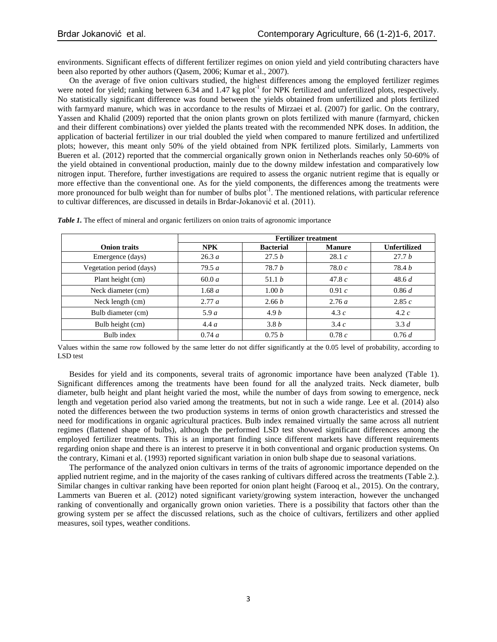environments. Significant effects of different fertilizer regimes on onion yield and yield contributing characters have been also reported by other authors (Qasem, 2006; Kumar et al., 2007).

On the average of five onion cultivars studied, the highest differences among the employed fertilizer regimes were noted for yield; ranking between 6.34 and 1.47 kg plot<sup>-1</sup> for NPK fertilized and unfertilized plots, respectively. No statistically significant difference was found between the yields obtained from unfertilized and plots fertilized with farmyard manure, which was in accordance to the results of Mirzaei et al. (2007) for garlic. On the contrary, Yassen and Khalid (2009) reported that the onion plants grown on plots fertilized with manure (farmyard, chicken and their different combinations) over yielded the plants treated with the recommended NPK doses. In addition, the application of bacterial fertilizer in our trial doubled the yield when compared to manure fertilized and unfertilized plots; however, this meant only 50% of the yield obtained from NPK fertilized plots. Similarly, Lammerts von Bueren et al. (2012) reported that the commercial organically grown onion in Netherlands reaches only 50-60% of the yield obtained in conventional production, mainly due to the downy mildew infestation and comparatively low nitrogen input. Therefore, further investigations are required to assess the organic nutrient regime that is equally or more effective than the conventional one. As for the yield components, the differences among the treatments were more pronounced for bulb weight than for number of bulbs plot<sup>-1</sup>. The mentioned relations, with particular reference to cultivar differences, are discussed in details in Brdar-Jokanović et al. (2011).

|                          | <b>Fertilizer treatment</b> |                  |               |                     |  |  |  |  |
|--------------------------|-----------------------------|------------------|---------------|---------------------|--|--|--|--|
| <b>Onion traits</b>      | <b>NPK</b>                  | <b>Bacterial</b> | <b>Manure</b> | <b>Unfertilized</b> |  |  |  |  |
| Emergence (days)         | 26.3a                       | 27.5 b           | 28.1c         | 27.7b               |  |  |  |  |
| Vegetation period (days) | 79.5a                       | 78.7b            | 78.0 $c$      | 78.4 <i>b</i>       |  |  |  |  |
| Plant height (cm)        | 60.0a                       | 51.1 b           | 47.8 $c$      | 48.6 d              |  |  |  |  |
| Neck diameter (cm)       | 1.68a                       | 1.00 b           | 0.91c         | 0.86 d              |  |  |  |  |
| Neck length (cm)         | 2.77a                       | 2.66 b           | 2.76a         | 2.85c               |  |  |  |  |
| Bulb diameter (cm)       | 5.9a                        | 4.9b             | 4.3 $c$       | 4.2 $c$             |  |  |  |  |
| Bulb height (cm)         | 4.4a                        | 3.8b             | 3.4c          | 3.3 d               |  |  |  |  |
| Bulb index               | 0.74 a                      | 0.75 b           | 0.78c         | 0.76 d              |  |  |  |  |

*Table 1.* The effect of mineral and organic fertilizers on onion traits of agronomic importance

Values within the same row followed by the same letter do not differ significantly at the 0.05 level of probability, according to LSD test

Besides for yield and its components, several traits of agronomic importance have been analyzed (Table 1). Significant differences among the treatments have been found for all the analyzed traits. Neck diameter, bulb diameter, bulb height and plant height varied the most, while the number of days from sowing to emergence, neck length and vegetation period also varied among the treatments, but not in such a wide range. Lee et al. (2014) also noted the differences between the two production systems in terms of onion growth characteristics and stressed the need for modifications in organic agricultural practices. Bulb index remained virtually the same across all nutrient regimes (flattened shape of bulbs), although the performed LSD test showed significant differences among the employed fertilizer treatments. This is an important finding since different markets have different requirements regarding onion shape and there is an interest to preserve it in both conventional and organic production systems. On the contrary, Kimani et al. (1993) reported significant variation in onion bulb shape due to seasonal variations.

The performance of the analyzed onion cultivars in terms of the traits of agronomic importance depended on the applied nutrient regime, and in the majority of the cases ranking of cultivars differed across the treatments (Table 2.). Similar changes in cultivar ranking have been reported for onion plant height (Farooq et al., 2015). On the contrary, Lammerts van Bueren et al. (2012) noted significant variety/growing system interaction, however the unchanged ranking of conventionally and organically grown onion varieties. There is a possibility that factors other than the growing system per se affect the discussed relations, such as the choice of cultivars, fertilizers and other applied measures, soil types, weather conditions.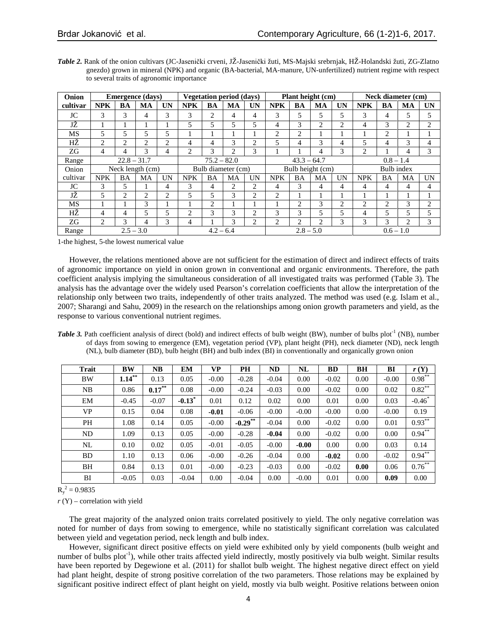| Onion    | <b>Emergence</b> (days) |                |                |                | <b>Vegetation period (days)</b> |           |                |                  | Plant height (cm) |                |                |            | Neck diameter (cm) |                |                |                |
|----------|-------------------------|----------------|----------------|----------------|---------------------------------|-----------|----------------|------------------|-------------------|----------------|----------------|------------|--------------------|----------------|----------------|----------------|
| cultivar | <b>NPK</b>              | BA             | <b>MA</b>      | UN             | <b>NPK</b>                      | <b>BA</b> | <b>MA</b>      | UN               | <b>NPK</b>        | <b>BA</b>      | <b>MA</b>      | UN         | <b>NPK</b>         | BA             | MA             | <b>UN</b>      |
| JC       | 3                       | 3              | 4              | 3              | 3                               | 2         | 4              | 4                | 3                 | 5              | 5              | 5          | 3                  | 4              | 5              | 5              |
| JŽ       |                         |                |                |                | 5                               | 5         | 5              | 5                | 4                 | 3              | $\overline{c}$ | 2          | 4                  | 3              | $\overline{c}$ | 2              |
| MS       | 5                       | 5              | 5              | 5              |                                 |           |                |                  | 2                 | $\overline{c}$ |                |            |                    | $\overline{c}$ |                |                |
| НŻ       | $\overline{c}$          | $\overline{c}$ | $\overline{2}$ | $\overline{c}$ | 4                               | 4         | 3              | $\overline{c}$   | 5                 | 4              | $\mathcal{R}$  | 4          | 5                  | 4              | 3              | 4              |
| ZG       | 4                       | 4              | 3              | 4              | $\overline{2}$                  | 3         | $\overline{2}$ | 3                |                   |                | 4              | 3          | $\overline{c}$     |                | 4              | 3              |
| Range    | $22.8 - 31.7$           |                |                |                | $75.2 - 82.0$                   |           |                |                  | $43.3 - 64.7$     |                |                |            | $0.8 - 1.4$        |                |                |                |
| Onion    | Neck length (cm)        |                |                |                | Bulb diameter (cm)              |           |                | Bulb height (cm) |                   |                |                | Bulb index |                    |                |                |                |
| cultivar | <b>NPK</b>              | <b>BA</b>      | MA             | UN             | <b>NPK</b>                      | <b>BA</b> | MA             | <b>UN</b>        | <b>NPK</b>        | <b>BA</b>      | <b>MA</b>      | UN         | <b>NPK</b>         | ΒA             | MA             | UN             |
| JC       | 3                       | 5              |                | 4              | 3                               | 4         | $\overline{2}$ | 2                | 4                 | 3              | 4              | 4          | 4                  | 4              | 4              | 4              |
| JŽ       | 5                       | $\mathfrak{D}$ | $\overline{2}$ | 2              | 5                               | 5         | 3              | 2                | $\mathfrak{D}$    |                |                |            |                    |                |                |                |
| MS       |                         |                | $\mathcal{R}$  |                |                                 | 2         |                |                  |                   | $\overline{c}$ | 3              | 2          | 2                  | 2              | $\mathcal{R}$  | $\overline{2}$ |
| НŻ       | 4                       | 4              | 5              | 5              | $\overline{c}$                  | 3         | 3              | $\overline{2}$   | 3                 | 3              | 5              | 5          | 4                  | 5              | 5              | 5              |
| ZG       | $\overline{2}$          | 3              | 4              | 3              | 4                               |           | $\mathcal{R}$  | 2                | 2                 | $\mathfrak{D}$ | $\overline{c}$ | 3          | 3                  | 3              | $\overline{c}$ | 3              |
| Range    | $2.5 - 3.0$             |                |                | $4.2 - 6.4$    |                                 |           | $2.8 - 5.0$    |                  |                   |                | $0.6 - 1.0$    |            |                    |                |                |                |

*Table 2.* Rank of the onion cultivars (JC-Jasenički crveni, JŽ-Jasenički žuti, MS-Majski srebrnjak, HŽ-Holandski žuti, ZG-Zlatno gnezdo) grown in mineral (NPK) and organic (BA-bacterial, MA-manure, UN-unfertilized) nutrient regime with respect to several traits of agronomic importance

1-the highest, 5-the lowest numerical value

However, the relations mentioned above are not sufficient for the estimation of direct and indirect effects of traits of agronomic importance on yield in onion grown in conventional and organic environments. Therefore, the path coefficient analysis implying the simultaneous consideration of all investigated traits was performed (Table 3). The analysis has the advantage over the widely used Pearson's correlation coefficients that allow the interpretation of the relationship only between two traits, independently of other traits analyzed. The method was used (e.g. Islam et al., 2007; Sharangi and Sahu, 2009) in the research on the relationships among onion growth parameters and yield, as the response to various conventional nutrient regimes.

*Table 3.* Path coefficient analysis of direct (bold) and indirect effects of bulb weight (BW), number of bulbs plot<sup>1</sup> (NB), number of days from sowing to emergence (EM), vegetation period (VP), plant height (PH), neck diameter (ND), neck length (NL), bulb diameter (BD), bulb height (BH) and bulb index (BI) in conventionally and organically grown onion

| <b>Trait</b>   | <b>BW</b> | <b>NB</b> | <b>EM</b>            | VР      | PH         | ND      | NL      | BD      | <b>BH</b> | BI      | r(Y)        |
|----------------|-----------|-----------|----------------------|---------|------------|---------|---------|---------|-----------|---------|-------------|
| <b>BW</b>      | $1.14***$ | 0.13      | 0.05                 | $-0.00$ | $-0.28$    | $-0.04$ | 0.00    | $-0.02$ | 0.00      | $-0.00$ | $0.98***$   |
| NB             | 0.86      | $0.17***$ | 0.08                 | $-0.00$ | $-0.24$    | $-0.03$ | 0.00    | $-0.02$ | 0.00      | 0.02    | $0.82^{**}$ |
| EM             | $-0.45$   | $-0.07$   | $-0.13$ <sup>*</sup> | 0.01    | 0.12       | 0.02    | 0.00    | 0.01    | 0.00      | 0.03    | $-0.46*$    |
| <b>VP</b>      | 0.15      | 0.04      | 0.08                 | $-0.01$ | $-0.06$    | $-0.00$ | $-0.00$ | $-0.00$ | 0.00      | $-0.00$ | 0.19        |
| PH             | 1.08      | 0.14      | 0.05                 | $-0.00$ | $-0.29$ ** | $-0.04$ | 0.00    | $-0.02$ | 0.00      | 0.01    | $0.93***$   |
| N <sub>D</sub> | 1.09      | 0.13      | 0.05                 | $-0.00$ | $-0.28$    | $-0.04$ | 0.00    | $-0.02$ | 0.00      | 0.00    | $0.94**$    |
| NL             | 0.10      | 0.02      | 0.05                 | $-0.01$ | $-0.05$    | $-0.00$ | $-0.00$ | 0.00    | 0.00      | 0.03    | 0.14        |
| <b>BD</b>      | 1.10      | 0.13      | 0.06                 | $-0.00$ | $-0.26$    | $-0.04$ | 0.00    | $-0.02$ | 0.00      | $-0.02$ | $0.94***$   |
| BH             | 0.84      | 0.13      | 0.01                 | $-0.00$ | $-0.23$    | $-0.03$ | 0.00    | $-0.02$ | 0.00      | 0.06    | $0.76^{**}$ |
| BI             | $-0.05$   | 0.03      | $-0.04$              | 0.00    | $-0.04$    | 0.00    | $-0.00$ | 0.01    | 0.00      | 0.09    | 0.00        |

 $R_{y}^{2} = 0.9835$ 

 $r(Y)$  – correlation with yield

The great majority of the analyzed onion traits correlated positively to yield. The only negative correlation was noted for number of days from sowing to emergence, while no statistically significant correlation was calculated between yield and vegetation period, neck length and bulb index.

However, significant direct positive effects on yield were exhibited only by yield components (bulb weight and number of bulbs plot<sup>-1</sup>), while other traits affected yield indirectly, mostly positively via bulb weight. Similar results have been reported by Degewione et al. (2011) for shallot bulb weight. The highest negative direct effect on yield had plant height, despite of strong positive correlation of the two parameters. Those relations may be explained by significant positive indirect effect of plant height on yield, mostly via bulb weight. Positive relations between onion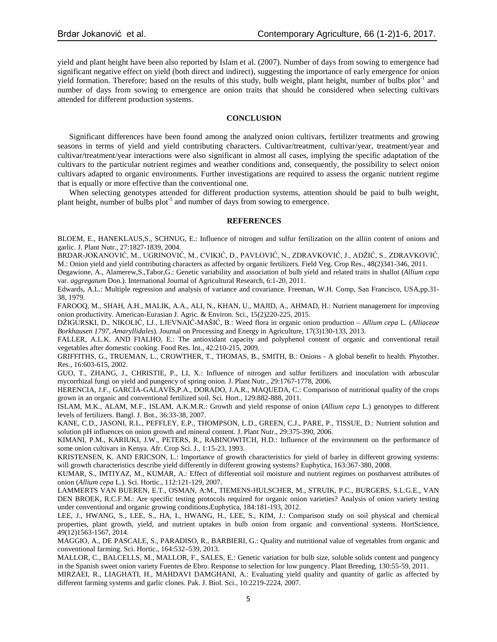yield and plant height have been also reported by Islam et al. (2007). Number of days from sowing to emergence had significant negative effect on yield (both direct and indirect), suggesting the importance of early emergence for onion yield formation. Therefore; based on the results of this study, bulb weight, plant height, number of bulbs plot<sup>-1</sup> and number of days from sowing to emergence are onion traits that should be considered when selecting cultivars attended for different production systems.

# **CONCLUSION**

Significant differences have been found among the analyzed onion cultivars, fertilizer treatments and growing seasons in terms of yield and yield contributing characters. Cultivar/treatment, cultivar/year, treatment/year and cultivar/treatment/year interactions were also significant in almost all cases, implying the specific adaptation of the cultivars to the particular nutrient regimes and weather conditions and, consequently, the possibility to select onion cultivars adapted to organic environments. Further investigations are required to assess the organic nutrient regime that is equally or more effective than the conventional one.

When selecting genotypes attended for different production systems, attention should be paid to bulb weight, plant height, number of bulbs  $plot^{-1}$  and number of days from sowing to emergence.

## **REFERENCES**

BLOEM, E., HANEKLAUS,S., SCHNUG, E.: Influence of nitrogen and sulfur fertilization on the alliin content of onions and garlic. J. Plant Nutr., 27:1827-1839, 2004.

BRDAR-JOKANOVIĆ, M., UGRINOVIĆ, M., CVIKIĆ, D., PAVLOVIĆ, N., ZDRAVKOVIĆ, J., ADŽIĆ, S., ZDRAVKOVIĆ, M.: Onion yield and yield contributing characters as affected by organic fertilizers. Field Veg. Crop Res., 48(2)341-346, 2011.

Degawione, A., Alamerew,S.,Tabor,G.: Genetic variability and association of bulb yield and related traits in shallot (*Allium cepa* var. *aggregatum* Don.). International Journal of Agricultural Research, 6:1-20, 2011.

Edwards, A.L.: Multiple regression and analysis of variance and covariance. Freeman, W.H. Comp, San Francisco, USA,pp.31- 38, 1979.

FAROOQ, M., SHAH, A.H., MALIK, A.A., ALI, N., KHAN, U., MAJID, A., AHMAD, H.: Nutrient management for improving onion productivity. American-Eurasian J. Agric. & Environ. Sci., 15(2)220-225, 2015.

DŽIGURSKI, D., NIKOLIĆ, LJ., LJEVNAIĆ-MAŠIĆ, B.: Weed flora in organic onion production – *Allium cepa* L. (*Alliaceae Borkhausen 1797, Amaryllidales*). Journal on Processing and Energy in Agriculture, 17(3)130-133, 2013.

FALLER, A.L.K. AND FIALHO, E.: The antioxidant capacity and polyphenol content of organic and conventional retail vegetables after domestic cooking. Food Res. Int., 42:210-215, 2009.

GRIFFITHS, G., TRUEMAN, L., CROWTHER, T., THOMAS, B., SMITH, B.: Onions - A global benefit to health. Phytother. Res., 16:603-615, 2002.

GUO, T., ZHANG, J., CHRISTIE, P., LI, X.: Influence of nitrogen and sulfur fertilizers and inoculation with arbuscular mycorrhizal fungi on yield and pungency of spring onion. J. Plant Nutr., 29:1767-1778, 2006.

HERENCIA, J.F., GARCÍA-GALAVÍS,P.A., DORADO, J.A.R., MAQUEDA, C.: Comparison of nutritional quality of the crops grown in an organic and conventional fertilized soil. Sci. Hort., 129:882-888, 2011.

ISLAM, M.K., ALAM, M.F., ISLAM, A.K.M.R.: Growth and yield response of onion (*Allium cepa* L.) genotypes to different levels of fertilizers. Bangl. J. Bot., 36:33-38, 2007.

KANE, C.D., JASONI, R.L., PEFFLEY, E.P., THOMPSON, L.D., GREEN, C.J., PARE, P., TISSUE, D.: Nutrient solution and solution pH influences on onion growth and mineral content. J. Plant Nutr., 29:375-390, 2006.

KIMANI, P.M., KARIUKI, J.W., PETERS, R., RABINOWITCH, H.D.: Influence of the environment on the performance of some onion cultivars in Kenya. Afr. Crop Sci. J., 1:15-23, 1993.

KRISTENSEN, K. AND ERICSON, L.: Importance of growth characteristics for yield of barley in different growing systems: will growth characteristics describe yield differently in different growing systems? Euphytica, 163:367-380, 2008.

KUMAR, S., IMTIYAZ, M., KUMAR, A.: Effect of differential soil moisture and nutrient regimes on postharvest attributes of onion (*Allium cepa* L.). Sci. Hortic., 112:121-129, 2007.

LAMMERTS VAN BUEREN, E.T., OSMAN, A:M., TIEMENS-HULSCHER, M., STRUIK, P.C., BURGERS, S.L.G.E., VAN DEN BROEK, R.C.F.M.: Are specific testing protocols required for organic onion varieties? Analysis of onion variety testing under conventional and organic growing conditions.Euphytica, 184:181-193, 2012.

LEE, J., HWANG, S., LEE, S., HA, I., HWANG, H., LEE, S., KIM, J.: Comparison study on soil physical and chemical properties, plant growth, yield, and nutrient uptakes in bulb onion from organic and conventional systems. HortScience, 49(12)1563-1567, 2014.

MAGGIO, A., DE PASCALE, S., PARADISO, R., BARBIERI, G.: Quality and nutritional value of vegetables from organic and conventional farming. Sci. Hortic., 164:532–539, 2013.

MALLOR, C., BALCELLS, M., MALLOR, F., SALES, E.: Genetic variation for bulb size, soluble solids content and pungency in the Spanish sweet onion variety Fuentes de Ebro. Response to selection for low pungency. Plant Breeding, 130:55-59, 2011.

MIRZAEI, R., LIAGHATI, H., MAHDAVI DAMGHANI, A.: Evaluating yield quality and quantity of garlic as affected by different farming systems and garlic clones. Pak. J. Biol. Sci., 10:2219-2224, 2007.